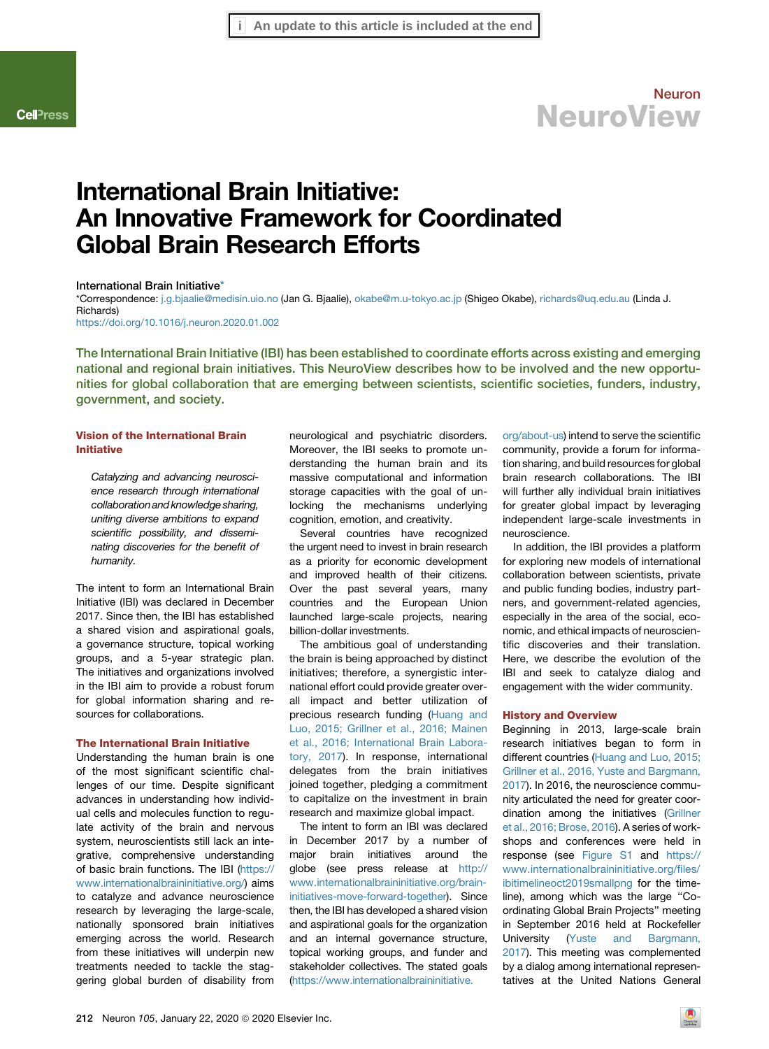# International Brain Initiative: An Innovative Framework for Coordinated Global Brain Research Efforts

### <span id="page-0-1"></span>International Brain Initiative[\\*](#page-0-0)

<span id="page-0-0"></span>\*Correspondence: [j.g.bjaalie@medisin.uio.no](mailto:j.g.bjaalie@medisin.uio.no) (Jan G. Bjaalie), [okabe@m.u-tokyo.ac.jp](mailto:okabe@m.u-tokyo.ac.jp) (Shigeo Okabe), [richards@uq.edu.au](mailto:richards@uq.edu.au) (Linda J. Richards)

<https://doi.org/10.1016/j.neuron.2020.01.002>

The International Brain Initiative (IBI) has been established to coordinate efforts across existing and emerging national and regional brain initiatives. This NeuroView describes how to be involved and the new opportunities for global collaboration that are emerging between scientists, scientific societies, funders, industry, government, and society.

## Vision of the International Brain Initiative

*Catalyzing and advancing neuroscience research through international collaboration and knowledge sharing, uniting diverse ambitions to expand scientific possibility, and disseminating discoveries for the benefit of humanity.*

The intent to form an International Brain Initiative (IBI) was declared in December 2017. Since then, the IBI has established a shared vision and aspirational goals, a governance structure, topical working groups, and a 5-year strategic plan. The initiatives and organizations involved in the IBI aim to provide a robust forum for global information sharing and resources for collaborations.

### The International Brain Initiative

Understanding the human brain is one of the most significant scientific challenges of our time. Despite significant advances in understanding how individual cells and molecules function to regulate activity of the brain and nervous system, neuroscientists still lack an integrative, comprehensive understanding of basic brain functions. The IBI ([https://](https://www.internationalbraininitiative.org/) [www.internationalbraininitiative.org/\)](https://www.internationalbraininitiative.org/) aims to catalyze and advance neuroscience research by leveraging the large-scale, nationally sponsored brain initiatives emerging across the world. Research from these initiatives will underpin new treatments needed to tackle the staggering global burden of disability from

neurological and psychiatric disorders. Moreover, the IBI seeks to promote understanding the human brain and its massive computational and information storage capacities with the goal of unlocking the mechanisms underlying cognition, emotion, and creativity.

Several countries have recognized the urgent need to invest in brain research as a priority for economic development and improved health of their citizens. Over the past several years, many countries and the European Union launched large-scale projects, nearing billion-dollar investments.

The ambitious goal of understanding the brain is being approached by distinct initiatives; therefore, a synergistic international effort could provide greater overall impact and better utilization of precious research funding [\(Huang and](#page-4-0) [Luo, 2015; Grillner et al., 2016; Mainen](#page-4-0) [et al., 2016; International Brain Labora](#page-4-0)[tory, 2017\)](#page-4-0). In response, international delegates from the brain initiatives joined together, pledging a commitment to capitalize on the investment in brain research and maximize global impact.

The intent to form an IBI was declared in December 2017 by a number of major brain initiatives around the globe (see press release at [http://](http://www.internationalbraininitiative.org/brain-initiatives-move-forward-together) [www.internationalbraininitiative.org/brain](http://www.internationalbraininitiative.org/brain-initiatives-move-forward-together)[initiatives-move-forward-together](http://www.internationalbraininitiative.org/brain-initiatives-move-forward-together)). Since then, the IBI has developed a shared vision and aspirational goals for the organization and an internal governance structure, topical working groups, and funder and stakeholder collectives. The stated goals [\(https://www.internationalbraininitiative.](https://www.internationalbraininitiative.org/about-us)

[org/about-us](https://www.internationalbraininitiative.org/about-us)) intend to serve the scientific community, provide a forum for information sharing, and build resources for global brain research collaborations. The IBI will further ally individual brain initiatives for greater global impact by leveraging independent large-scale investments in neuroscience.

In addition, the IBI provides a platform for exploring new models of international collaboration between scientists, private and public funding bodies, industry partners, and government-related agencies, especially in the area of the social, economic, and ethical impacts of neuroscientific discoveries and their translation. Here, we describe the evolution of the IBI and seek to catalyze dialog and engagement with the wider community.

#### History and Overview

Beginning in 2013, large-scale brain research initiatives began to form in different countries ([Huang and Luo, 2015;](#page-4-0) [Grillner et al., 2016, Yuste and Bargmann,](#page-4-0) [2017](#page-4-0)). In 2016, the neuroscience community articulated the need for greater coordination among the initiatives [\(Grillner](#page-4-1) [et al., 2016; Brose, 2016\)](#page-4-1). A series of workshops and conferences were held in response (see Figure S1 and [https://](https://www.internationalbraininitiative.org/files/ibitimelineoct2019smallpng) [www.internationalbraininitiative.org/files/](https://www.internationalbraininitiative.org/files/ibitimelineoct2019smallpng) [ibitimelineoct2019smallpng](https://www.internationalbraininitiative.org/files/ibitimelineoct2019smallpng) for the timeline), among which was the large ''Coordinating Global Brain Projects'' meeting in September 2016 held at Rockefeller University ([Yuste and Bargmann,](#page-4-2) [2017](#page-4-2)). This meeting was complemented by a dialog among international representatives at the United Nations General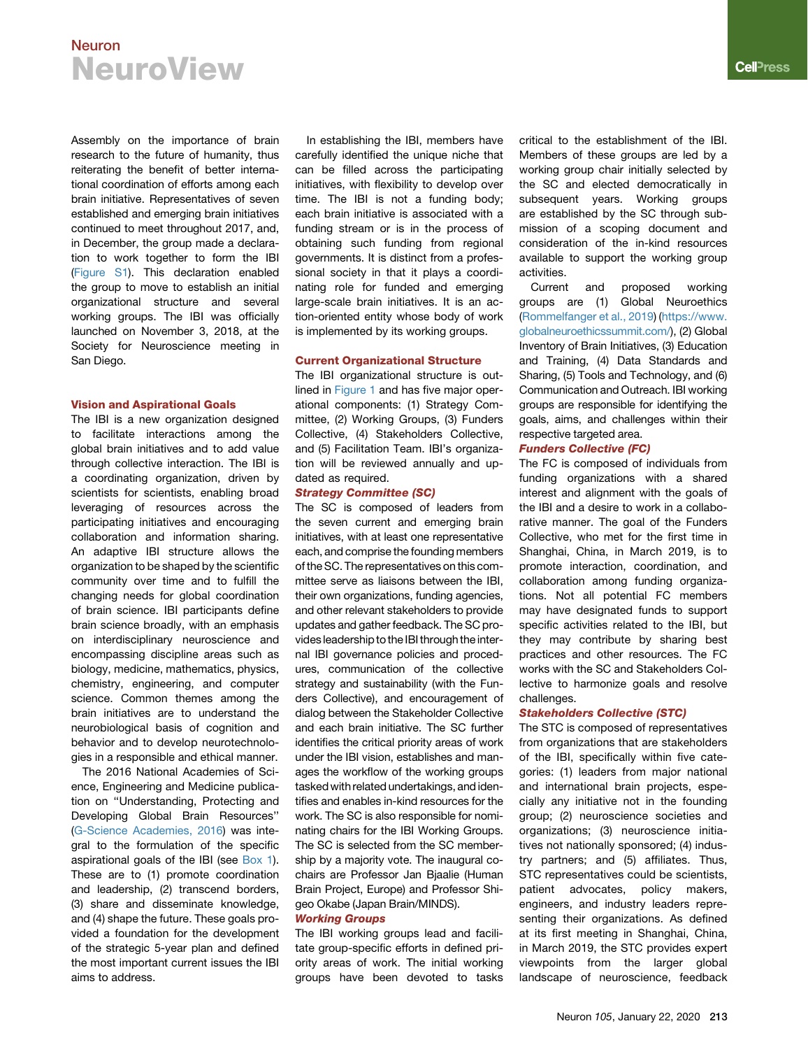Assembly on the importance of brain research to the future of humanity, thus reiterating the benefit of better international coordination of efforts among each brain initiative. Representatives of seven established and emerging brain initiatives continued to meet throughout 2017, and, in December, the group made a declaration to work together to form the IBI (Figure S1). This declaration enabled the group to move to establish an initial organizational structure and several working groups. The IBI was officially launched on November 3, 2018, at the Society for Neuroscience meeting in San Diego.

#### Vision and Aspirational Goals

The IBI is a new organization designed to facilitate interactions among the global brain initiatives and to add value through collective interaction. The IBI is a coordinating organization, driven by scientists for scientists, enabling broad leveraging of resources across the participating initiatives and encouraging collaboration and information sharing. An adaptive IBI structure allows the organization to be shaped by the scientific community over time and to fulfill the changing needs for global coordination of brain science. IBI participants define brain science broadly, with an emphasis on interdisciplinary neuroscience and encompassing discipline areas such as biology, medicine, mathematics, physics, chemistry, engineering, and computer science. Common themes among the brain initiatives are to understand the neurobiological basis of cognition and behavior and to develop neurotechnologies in a responsible and ethical manner.

The 2016 National Academies of Science, Engineering and Medicine publication on ''Understanding, Protecting and Developing Global Brain Resources'' [\(G-Science Academies, 2016](#page-4-3)) was integral to the formulation of the specific aspirational goals of the IBI (see Box 1). These are to (1) promote coordination and leadership, (2) transcend borders, (3) share and disseminate knowledge, and (4) shape the future. These goals provided a foundation for the development of the strategic 5-year plan and defined the most important current issues the IBI aims to address.

In establishing the IBI, members have carefully identified the unique niche that can be filled across the participating initiatives, with flexibility to develop over time. The IBI is not a funding body; each brain initiative is associated with a funding stream or is in the process of obtaining such funding from regional governments. It is distinct from a professional society in that it plays a coordinating role for funded and emerging large-scale brain initiatives. It is an action-oriented entity whose body of work is implemented by its working groups.

#### Current Organizational Structure

The IBI organizational structure is outlined in [Figure 1](#page-3-0) and has five major operational components: (1) Strategy Committee, (2) Working Groups, (3) Funders Collective, (4) Stakeholders Collective, and (5) Facilitation Team. IBI's organization will be reviewed annually and updated as required.

#### Strategy Committee (SC)

The SC is composed of leaders from the seven current and emerging brain initiatives, with at least one representative each, and comprise the founding members of the SC. The representatives on this committee serve as liaisons between the IBI, their own organizations, funding agencies, and other relevant stakeholders to provide updates and gather feedback. The SC provides leadership to the IBI through the internal IBI governance policies and procedures, communication of the collective strategy and sustainability (with the Funders Collective), and encouragement of dialog between the Stakeholder Collective and each brain initiative. The SC further identifies the critical priority areas of work under the IBI vision, establishes and manages the workflow of the working groups tasked with related undertakings, and identifies and enables in-kind resources for the work. The SC is also responsible for nominating chairs for the IBI Working Groups. The SC is selected from the SC membership by a majority vote. The inaugural cochairs are Professor Jan Bjaalie (Human Brain Project, Europe) and Professor Shigeo Okabe (Japan Brain/MINDS).

#### Working Groups

The IBI working groups lead and facilitate group-specific efforts in defined priority areas of work. The initial working groups have been devoted to tasks critical to the establishment of the IBI. Members of these groups are led by a working group chair initially selected by the SC and elected democratically in subsequent years. Working groups are established by the SC through submission of a scoping document and consideration of the in-kind resources available to support the working group activities.

Current and proposed working groups are (1) Global Neuroethics [\(Rommelfanger et al., 2019](#page-4-4)) [\(https://www.](https://www.globalneuroethicssummit.com/) [globalneuroethicssummit.com/\)](https://www.globalneuroethicssummit.com/), (2) Global Inventory of Brain Initiatives, (3) Education and Training, (4) Data Standards and Sharing, (5) Tools and Technology, and (6) Communication and Outreach. IBI working groups are responsible for identifying the goals, aims, and challenges within their respective targeted area.

#### Funders Collective (FC)

The FC is composed of individuals from funding organizations with a shared interest and alignment with the goals of the IBI and a desire to work in a collaborative manner. The goal of the Funders Collective, who met for the first time in Shanghai, China, in March 2019, is to promote interaction, coordination, and collaboration among funding organizations. Not all potential FC members may have designated funds to support specific activities related to the IBI, but they may contribute by sharing best practices and other resources. The FC works with the SC and Stakeholders Collective to harmonize goals and resolve challenges.

## Stakeholders Collective (STC)

The STC is composed of representatives from organizations that are stakeholders of the IBI, specifically within five categories: (1) leaders from major national and international brain projects, especially any initiative not in the founding group; (2) neuroscience societies and organizations; (3) neuroscience initiatives not nationally sponsored; (4) industry partners; and (5) affiliates. Thus, STC representatives could be scientists, patient advocates, policy makers, engineers, and industry leaders representing their organizations. As defined at its first meeting in Shanghai, China, in March 2019, the STC provides expert viewpoints from the larger global landscape of neuroscience, feedback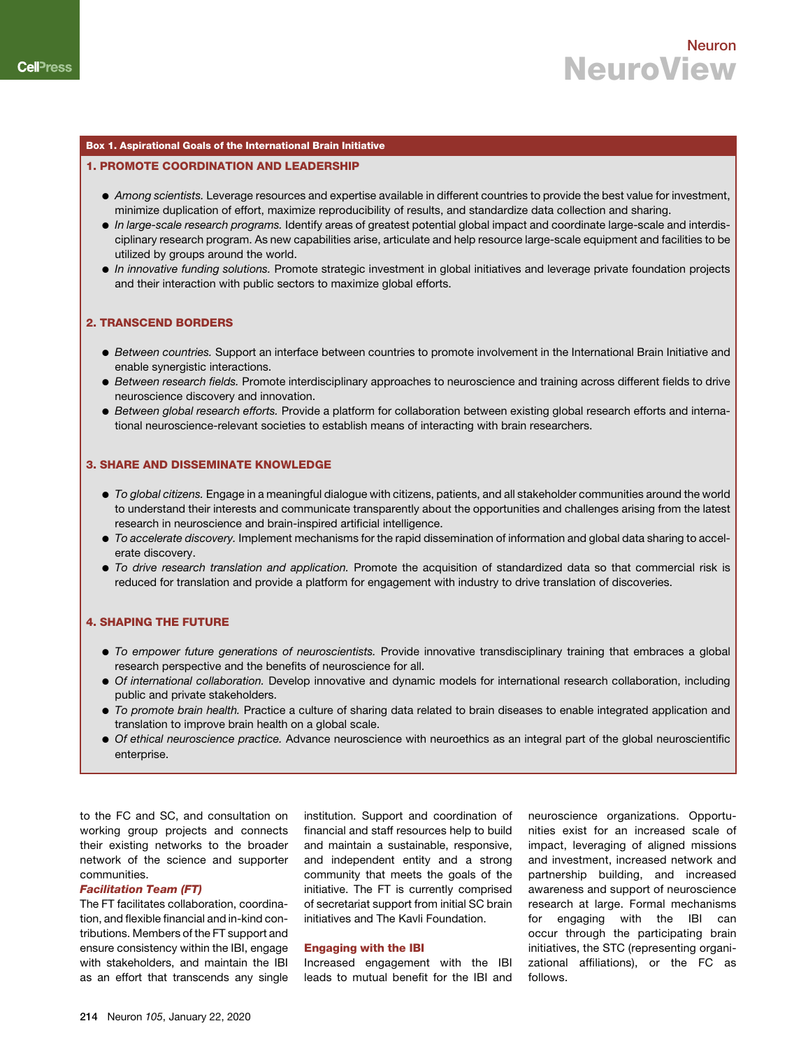### Box 1. Aspirational Goals of the International Brain Initiative

## 1. PROMOTE COORDINATION AND LEADERSHIP

- d *Among scientists.* Leverage resources and expertise available in different countries to provide the best value for investment, minimize duplication of effort, maximize reproducibility of results, and standardize data collection and sharing.
- d *In large-scale research programs.* Identify areas of greatest potential global impact and coordinate large-scale and interdisciplinary research program. As new capabilities arise, articulate and help resource large-scale equipment and facilities to be utilized by groups around the world.
- d *In innovative funding solutions.* Promote strategic investment in global initiatives and leverage private foundation projects and their interaction with public sectors to maximize global efforts.

## 2. TRANSCEND BORDERS

- d *Between countries.* Support an interface between countries to promote involvement in the International Brain Initiative and enable synergistic interactions.
- d *Between research fields.* Promote interdisciplinary approaches to neuroscience and training across different fields to drive neuroscience discovery and innovation.
- d *Between global research efforts.* Provide a platform for collaboration between existing global research efforts and international neuroscience-relevant societies to establish means of interacting with brain researchers.

## 3. SHARE AND DISSEMINATE KNOWLEDGE

- d *To global citizens.* Engage in a meaningful dialogue with citizens, patients, and all stakeholder communities around the world to understand their interests and communicate transparently about the opportunities and challenges arising from the latest research in neuroscience and brain-inspired artificial intelligence.
- $\bullet$  *To accelerate discovery.* Implement mechanisms for the rapid dissemination of information and global data sharing to accelerate discovery.
- d *To drive research translation and application.* Promote the acquisition of standardized data so that commercial risk is reduced for translation and provide a platform for engagement with industry to drive translation of discoveries.

## 4. SHAPING THE FUTURE

- d *To empower future generations of neuroscientists.* Provide innovative transdisciplinary training that embraces a global research perspective and the benefits of neuroscience for all.
- d *Of international collaboration.* Develop innovative and dynamic models for international research collaboration, including public and private stakeholders.
- d *To promote brain health.* Practice a culture of sharing data related to brain diseases to enable integrated application and translation to improve brain health on a global scale.
- d *Of ethical neuroscience practice.* Advance neuroscience with neuroethics as an integral part of the global neuroscientific enterprise.

to the FC and SC, and consultation on working group projects and connects their existing networks to the broader network of the science and supporter communities.

#### Facilitation Team (FT)

The FT facilitates collaboration, coordination, and flexible financial and in-kind contributions. Members of the FT support and ensure consistency within the IBI, engage with stakeholders, and maintain the IBI as an effort that transcends any single institution. Support and coordination of financial and staff resources help to build and maintain a sustainable, responsive, and independent entity and a strong community that meets the goals of the initiative. The FT is currently comprised of secretariat support from initial SC brain initiatives and The Kavli Foundation.

## Engaging with the IBI

Increased engagement with the IBI leads to mutual benefit for the IBI and neuroscience organizations. Opportunities exist for an increased scale of impact, leveraging of aligned missions and investment, increased network and partnership building, and increased awareness and support of neuroscience research at large. Formal mechanisms for engaging with the IBI can occur through the participating brain initiatives, the STC (representing organizational affiliations), or the FC as follows.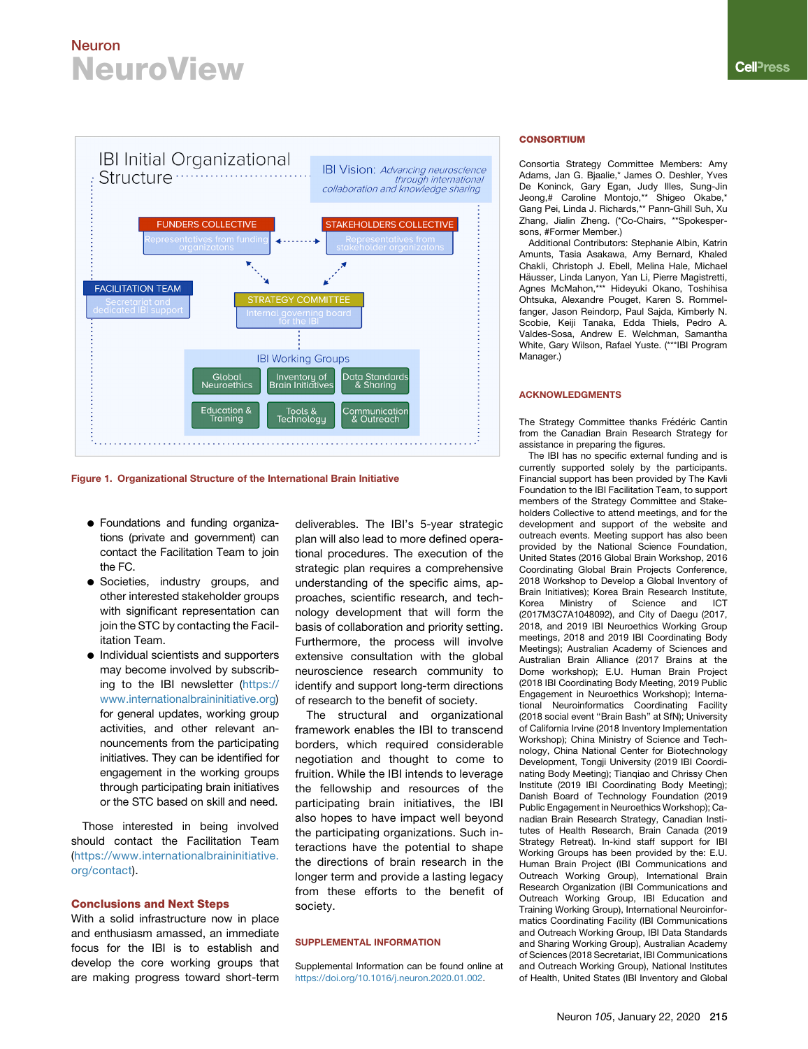<span id="page-3-0"></span>

Figure 1. Organizational Structure of the International Brain Initiative

- d Foundations and funding organizations (private and government) can contact the Facilitation Team to join the FC.
- **•** Societies, industry groups, and other interested stakeholder groups with significant representation can join the STC by contacting the Facilitation Team.
- $\bullet$  Individual scientists and supporters may become involved by subscrib-ing to the IBI newsletter [\(https://](https://www.internationalbraininitiative.org) [www.internationalbraininitiative.org\)](https://www.internationalbraininitiative.org) for general updates, working group activities, and other relevant announcements from the participating initiatives. They can be identified for engagement in the working groups through participating brain initiatives or the STC based on skill and need.

Those interested in being involved should contact the Facilitation Team [\(https://www.internationalbraininitiative.](https://www.internationalbraininitiative.org/contact) [org/contact\)](https://www.internationalbraininitiative.org/contact).

#### Conclusions and Next Steps

With a solid infrastructure now in place and enthusiasm amassed, an immediate focus for the IBI is to establish and develop the core working groups that are making progress toward short-term

deliverables. The IBI's 5-year strategic plan will also lead to more defined operational procedures. The execution of the strategic plan requires a comprehensive understanding of the specific aims, approaches, scientific research, and technology development that will form the basis of collaboration and priority setting. Furthermore, the process will involve extensive consultation with the global neuroscience research community to identify and support long-term directions of research to the benefit of society.

The structural and organizational framework enables the IBI to transcend borders, which required considerable negotiation and thought to come to fruition. While the IBI intends to leverage the fellowship and resources of the participating brain initiatives, the IBI also hopes to have impact well beyond the participating organizations. Such interactions have the potential to shape the directions of brain research in the longer term and provide a lasting legacy from these efforts to the benefit of society.

#### SUPPLEMENTAL INFORMATION

Supplemental Information can be found online at <https://doi.org/10.1016/j.neuron.2020.01.002>.

#### **CONSORTIUM**

Consortia Strategy Committee Members: Amy Adams, Jan G. Bjaalie,\* James O. Deshler, Yves De Koninck, Gary Egan, Judy Illes, Sung-Jin Jeong,# Caroline Montojo,\*\* Shigeo Okabe,\* Gang Pei, Linda J. Richards,\*\* Pann-Ghill Suh, Xu Zhang, Jialin Zheng. (\*Co-Chairs, \*\*Spokespersons, #Former Member.)

Additional Contributors: Stephanie Albin, Katrin Amunts, Tasia Asakawa, Amy Bernard, Khaled Chakli, Christoph J. Ebell, Melina Hale, Michael Häusser, Linda Lanyon, Yan Li, Pierre Magistretti, Agnes McMahon,\*\*\* Hideyuki Okano, Toshihisa Ohtsuka, Alexandre Pouget, Karen S. Rommelfanger, Jason Reindorp, Paul Sajda, Kimberly N. Scobie, Keiji Tanaka, Edda Thiels, Pedro A. Valdes-Sosa, Andrew E. Welchman, Samantha White, Gary Wilson, Rafael Yuste. (\*\*\*IBI Program Manager.)

#### ACKNOWLEDGMENTS

The Strategy Committee thanks Frédéric Cantin from the Canadian Brain Research Strategy for assistance in preparing the figures.

The IBI has no specific external funding and is currently supported solely by the participants. Financial support has been provided by The Kavli Foundation to the IBI Facilitation Team, to support members of the Strategy Committee and Stakeholders Collective to attend meetings, and for the development and support of the website and outreach events. Meeting support has also been provided by the National Science Foundation, United States (2016 Global Brain Workshop, 2016 Coordinating Global Brain Projects Conference, 2018 Workshop to Develop a Global Inventory of Brain Initiatives); Korea Brain Research Institute,<br>Korea Ministry of Science and ICT Korea Ministry of Science and ICT (2017M3C7A1048092), and City of Daegu (2017, 2018, and 2019 IBI Neuroethics Working Group meetings, 2018 and 2019 IBI Coordinating Body Meetings); Australian Academy of Sciences and Australian Brain Alliance (2017 Brains at the Dome workshop); E.U. Human Brain Project (2018 IBI Coordinating Body Meeting, 2019 Public Engagement in Neuroethics Workshop); International Neuroinformatics Coordinating Facility (2018 social event ''Brain Bash'' at SfN); University of California Irvine (2018 Inventory Implementation Workshop); China Ministry of Science and Technology, China National Center for Biotechnology Development, Tongji University (2019 IBI Coordinating Body Meeting); Tianqiao and Chrissy Chen Institute (2019 IBI Coordinating Body Meeting); Danish Board of Technology Foundation (2019 Public Engagement in Neuroethics Workshop); Canadian Brain Research Strategy, Canadian Institutes of Health Research, Brain Canada (2019 Strategy Retreat). In-kind staff support for IBI Working Groups has been provided by the: E.U. Human Brain Project (IBI Communications and Outreach Working Group), International Brain Research Organization (IBI Communications and Outreach Working Group, IBI Education and Training Working Group), International Neuroinformatics Coordinating Facility (IBI Communications and Outreach Working Group, IBI Data Standards and Sharing Working Group), Australian Academy of Sciences (2018 Secretariat, IBI Communications and Outreach Working Group), National Institutes of Health, United States (IBI Inventory and Global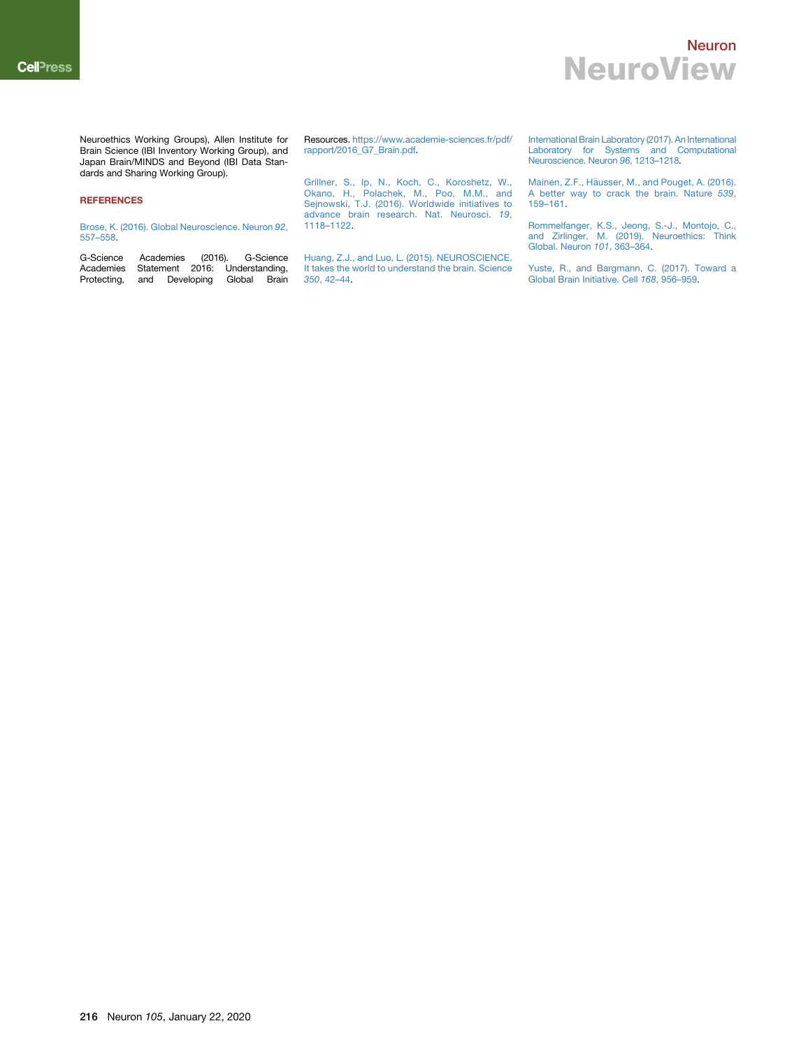Neuroethics Working Groups), Allen Institute for Brain Science (IBI Inventory Working Group), and Japan Brain/MINDS and Beyond (IBI Data Standards and Sharing Working Group).

#### **REFERENCES**

[Brose, K. \(2016\). Global Neuroscience. Neuron](http://refhub.elsevier.com/S0896-6273(20)30002-7/sref1) *92*, [557–558](http://refhub.elsevier.com/S0896-6273(20)30002-7/sref1).

<span id="page-4-3"></span>G-Science Academies (2016). G-Science Academies Statement 2016: Understanding, Protecting, and Developing Global Brain

Resources. [https://www.academie-sciences.fr/pdf/](https://www.academie-sciences.fr/pdf/rapport/2016_G7_Brain.pdf) [rapport/2016\\_G7\\_Brain.pdf](https://www.academie-sciences.fr/pdf/rapport/2016_G7_Brain.pdf).

[Grillner, S., Ip, N., Koch, C., Koroshetz, W.,](http://refhub.elsevier.com/S0896-6273(20)30002-7/sref3) [Okano, H., Polachek, M., Poo, M.M., and](http://refhub.elsevier.com/S0896-6273(20)30002-7/sref3) [Sejnowski, T.J. \(2016\). Worldwide initiatives to](http://refhub.elsevier.com/S0896-6273(20)30002-7/sref3) [advance brain research. Nat. Neurosci.](http://refhub.elsevier.com/S0896-6273(20)30002-7/sref3) *19*, [1118–1122](http://refhub.elsevier.com/S0896-6273(20)30002-7/sref3).

<span id="page-4-1"></span><span id="page-4-0"></span>[Huang, Z.J., and Luo, L. \(2015\). NEUROSCIENCE.](http://refhub.elsevier.com/S0896-6273(20)30002-7/sref4) [It takes the world to understand the brain. Science](http://refhub.elsevier.com/S0896-6273(20)30002-7/sref4) *350*[, 42–44.](http://refhub.elsevier.com/S0896-6273(20)30002-7/sref4)

[International Brain Laboratory \(2017\). An International](http://refhub.elsevier.com/S0896-6273(20)30002-7/sref5) [Laboratory for Systems and Computational](http://refhub.elsevier.com/S0896-6273(20)30002-7/sref5) [Neuroscience. Neuron](http://refhub.elsevier.com/S0896-6273(20)30002-7/sref5) *96*, 1213–1218.

[Mainen, Z.F., H](http://refhub.elsevier.com/S0896-6273(20)30002-7/sref6)ä[usser, M., and Pouget, A. \(2016\).](http://refhub.elsevier.com/S0896-6273(20)30002-7/sref6) [A better way to crack the brain. Nature](http://refhub.elsevier.com/S0896-6273(20)30002-7/sref6) *539*, [159–161.](http://refhub.elsevier.com/S0896-6273(20)30002-7/sref6)

<span id="page-4-4"></span>[Rommelfanger, K.S., Jeong, S.-J., Montojo, C.,](http://refhub.elsevier.com/S0896-6273(20)30002-7/sref7) [and Zirlinger, M. \(2019\). Neuroethics: Think](http://refhub.elsevier.com/S0896-6273(20)30002-7/sref7) [Global. Neuron](http://refhub.elsevier.com/S0896-6273(20)30002-7/sref7) *101*, 363–364.

<span id="page-4-2"></span>[Yuste, R., and Bargmann, C. \(2017\). Toward a](http://refhub.elsevier.com/S0896-6273(20)30002-7/sref8) [Global Brain Initiative. Cell](http://refhub.elsevier.com/S0896-6273(20)30002-7/sref8) *168*, 956–959.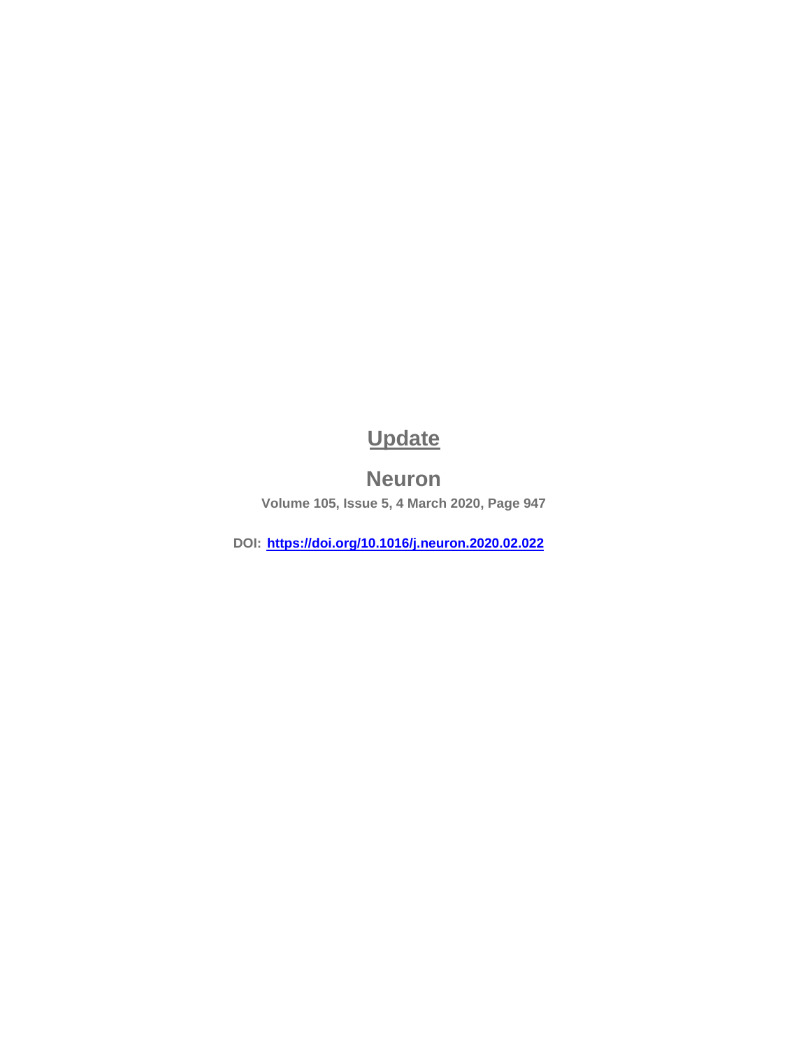# **Update**

## **Neuron**

<span id="page-5-0"></span>**Volume 105, Issue 5, 4 March 2020, Page 947**

**DOI: https://doi.org/10.1016/j.neuron.2020.02.022**